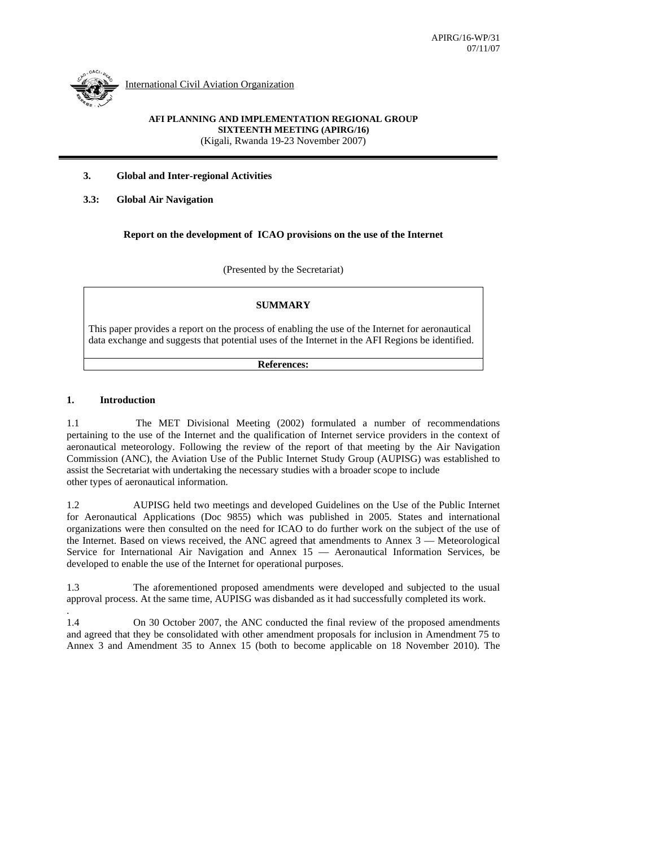

International Civil Aviation Organization

## **AFI PLANNING AND IMPLEMENTATION REGIONAL GROUP SIXTEENTH MEETING (APIRG/16)**  (Kigali, Rwanda 19-23 November 2007)

## **3. Global and Inter-regional Activities**

## **3.3: Global Air Navigation**

## **Report on the development of ICAO provisions on the use of the Internet**

(Presented by the Secretariat)

## **SUMMARY**

This paper provides a report on the process of enabling the use of the Internet for aeronautical data exchange and suggests that potential uses of the Internet in the AFI Regions be identified.

#### **References:**

## **1. Introduction**

.

1.1 The MET Divisional Meeting (2002) formulated a number of recommendations pertaining to the use of the Internet and the qualification of Internet service providers in the context of aeronautical meteorology. Following the review of the report of that meeting by the Air Navigation Commission (ANC), the Aviation Use of the Public Internet Study Group (AUPISG) was established to assist the Secretariat with undertaking the necessary studies with a broader scope to include other types of aeronautical information.

1.2 AUPISG held two meetings and developed Guidelines on the Use of the Public Internet for Aeronautical Applications (Doc 9855) which was published in 2005. States and international organizations were then consulted on the need for ICAO to do further work on the subject of the use of the Internet. Based on views received, the ANC agreed that amendments to Annex 3 — Meteorological Service for International Air Navigation and Annex 15 — Aeronautical Information Services, be developed to enable the use of the Internet for operational purposes.

1.3 The aforementioned proposed amendments were developed and subjected to the usual approval process. At the same time, AUPISG was disbanded as it had successfully completed its work.

1.4 On 30 October 2007, the ANC conducted the final review of the proposed amendments and agreed that they be consolidated with other amendment proposals for inclusion in Amendment 75 to Annex 3 and Amendment 35 to Annex 15 (both to become applicable on 18 November 2010). The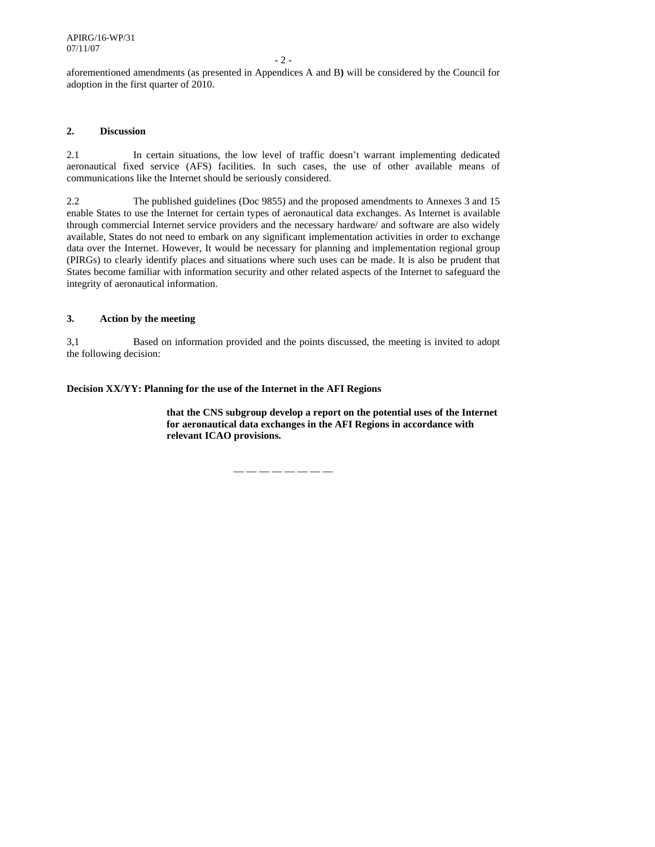- 2 -

aforementioned amendments (as presented in Appendices A and B**)** will be considered by the Council for adoption in the first quarter of 2010.

## **2. Discussion**

2.1 In certain situations, the low level of traffic doesn't warrant implementing dedicated aeronautical fixed service (AFS) facilities. In such cases, the use of other available means of communications like the Internet should be seriously considered.

2.2 The published guidelines (Doc 9855) and the proposed amendments to Annexes 3 and 15 enable States to use the Internet for certain types of aeronautical data exchanges. As Internet is available through commercial Internet service providers and the necessary hardware/ and software are also widely available, States do not need to embark on any significant implementation activities in order to exchange data over the Internet. However, It would be necessary for planning and implementation regional group (PIRGs) to clearly identify places and situations where such uses can be made. It is also be prudent that States become familiar with information security and other related aspects of the Internet to safeguard the integrity of aeronautical information.

## **3. Action by the meeting**

3,1 Based on information provided and the points discussed, the meeting is invited to adopt the following decision:

## **Decision XX/YY: Planning for the use of the Internet in the AFI Regions**

**that the CNS subgroup develop a report on the potential uses of the Internet for aeronautical data exchanges in the AFI Regions in accordance with relevant ICAO provisions.** 

— — — — — — — —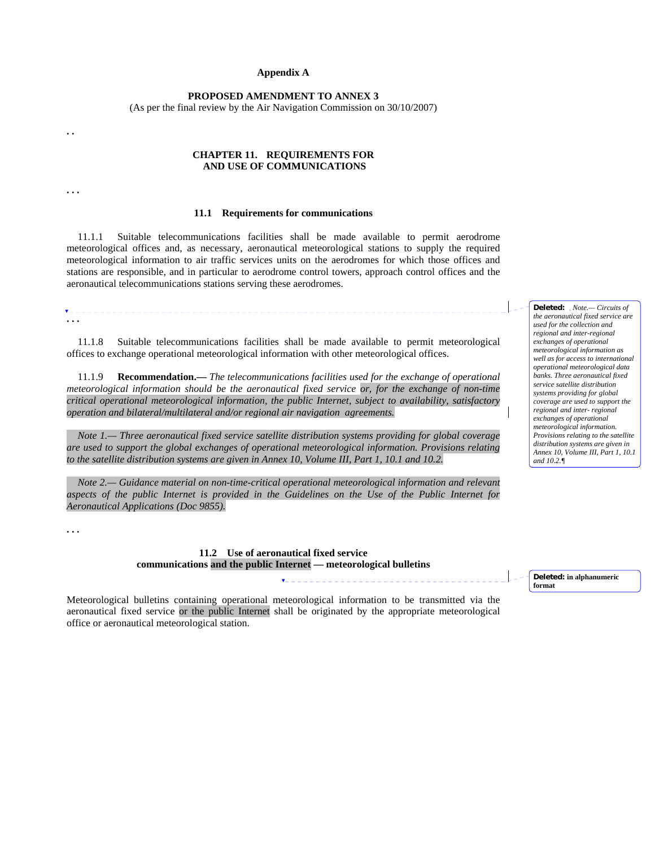#### **Appendix A**

#### **PROPOSED AMENDMENT TO ANNEX 3**

(As per the final review by the Air Navigation Commission on 30/10/2007)

#### **CHAPTER 11. REQUIREMENTS FOR AND USE OF COMMUNICATIONS**

**. . .** 

 $\overline{\mathbf{v}}$  =  $\overline{\mathbf{v}}$  =  $\overline{\mathbf{v}}$ 

**. .** 

#### **11.1 Requirements for communications**

11.1.1 Suitable telecommunications facilities shall be made available to permit aerodrome meteorological offices and, as necessary, aeronautical meteorological stations to supply the required meteorological information to air traffic services units on the aerodromes for which those offices and stations are responsible, and in particular to aerodrome control towers, approach control offices and the aeronautical telecommunications stations serving these aerodromes.

**. . .** 

 11.1.8 Suitable telecommunications facilities shall be made available to permit meteorological offices to exchange operational meteorological information with other meteorological offices.

\_\_\_\_\_\_\_\_\_\_\_\_\_\_\_\_\_\_

 11.1.9 **Recommendation.—** *The telecommunications facilities used for the exchange of operational meteorological information should be the aeronautical fixed service or, for the exchange of non-time critical operational meteorological information, the public Internet, subject to availability, satisfactory operation and bilateral/multilateral and/or regional air navigation agreements.*

 *Note 1.— Three aeronautical fixed service satellite distribution systems providing for global coverage are used to support the global exchanges of operational meteorological information. Provisions relating to the satellite distribution systems are given in Annex 10, Volume III, Part 1, 10.1 and 10.2.* 

 *Note 2.— Guidance material on non-time-critical operational meteorological information and relevant aspects of the public Internet is provided in the Guidelines on the Use of the Public Internet for Aeronautical Applications (Doc 9855).* 

**. . .** 

**11.2 Use of aeronautical fixed service communications and the public Internet — meteorological bulletins**

**Deleted: in alphanumeric format**

Meteorological bulletins containing operational meteorological information to be transmitted via the aeronautical fixed service or the public Internet shall be originated by the appropriate meteorological office or aeronautical meteorological station.

**Deleted:** *Note.— Circuits of the aeronautical fixed service are used for the collection and regional and inter-regional exchanges of operational meteorological information as well as for access to international operational meteorological data banks. Three aeronautical fixed service satellite distribution systems providing for global coverage are used to support the regional and inter- regional exchanges of operational meteorological information. Provisions relating to the satellite distribution systems are given in Annex 10*, *Volume III, Part 1, 10.1 and 10.2.¶*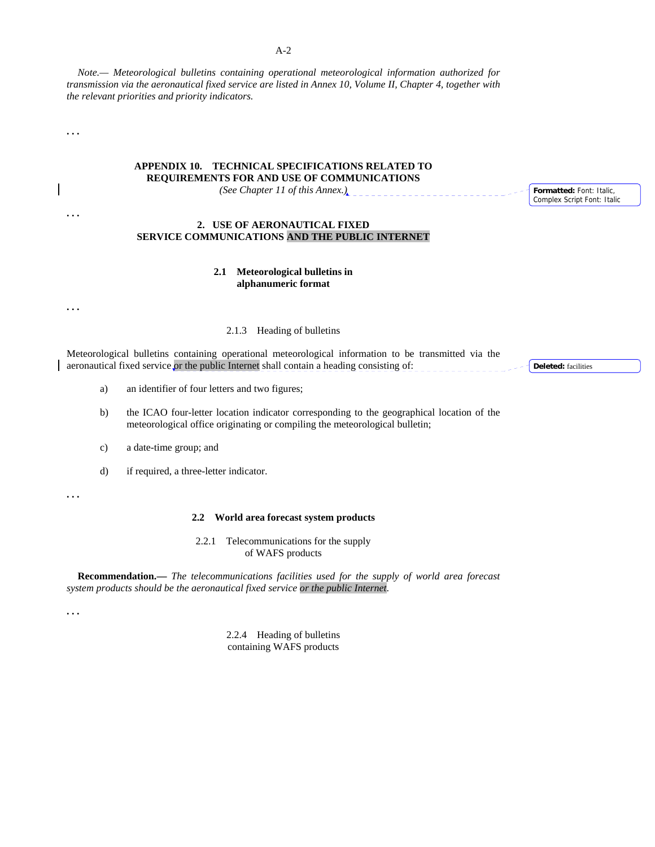*Note.— Meteorological bulletins containing operational meteorological information authorized for transmission via the aeronautical fixed service are listed in Annex 10, Volume II, Chapter 4, together with the relevant priorities and priority indicators.*

**. . .** 

**. . .**

## **APPENDIX 10. TECHNICAL SPECIFICATIONS RELATED TO REQUIREMENTS FOR AND USE OF COMMUNICATIONS**

*(See Chapter 11 of this Annex.)* 

## **2. USE OF AERONAUTICAL FIXED SERVICE COMMUNICATIONS AND THE PUBLIC INTERNET**

## **2.1 Meteorological bulletins in alphanumeric format**

**. . .**

#### 2.1.3 Heading of bulletins

Meteorological bulletins containing operational meteorological information to be transmitted via the aeronautical fixed service or the public Internet shall contain a heading consisting of:

a) an identifier of four letters and two figures;

b) the ICAO four-letter location indicator corresponding to the geographical location of the meteorological office originating or compiling the meteorological bulletin;

c) a date-time group; and

d) if required, a three-letter indicator.

**. . .**

#### **2.2 World area forecast system products**

2.2.1 Telecommunications for the supply of WAFS products

**Recommendation.—** *The telecommunications facilities used for the supply of world area forecast system products should be the aeronautical fixed service or the public Internet*.

**. . .**

2.2.4 Heading of bulletins containing WAFS products

**Deleted:** facilities

**Formatted:** Font: Italic, Complex Script Font: Italic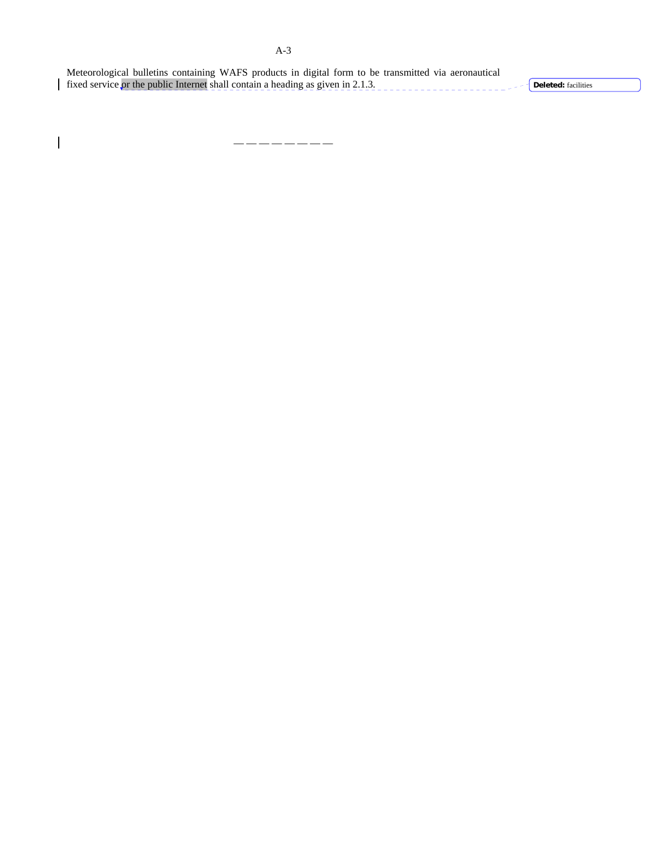| Meteorological bulletins containing WAFS products in digital form to be transmitted via aeronautical |                                              |
|------------------------------------------------------------------------------------------------------|----------------------------------------------|
| fixed service or the public Internet shall contain a heading as given in 2.1.3.                      | $\cdot$ $\vdash$ <b>Deleted</b> : facilities |

— — — — — — — —

 $\overline{\phantom{a}}$